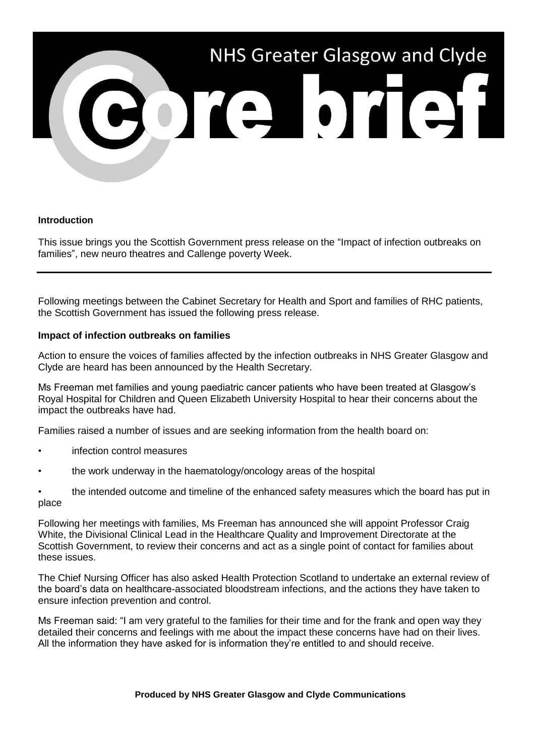

#### **Introduction**

This issue brings you the Scottish Government press release on the "Impact of infection outbreaks on families", new neuro theatres and Callenge poverty Week.

Following meetings between the Cabinet Secretary for Health and Sport and families of RHC patients, the Scottish Government has issued the following press release.

### **Impact of infection outbreaks on families**

Action to ensure the voices of families affected by the infection outbreaks in NHS Greater Glasgow and Clyde are heard has been announced by the Health Secretary.

Ms Freeman met families and young paediatric cancer patients who have been treated at Glasgow's Royal Hospital for Children and Queen Elizabeth University Hospital to hear their concerns about the impact the outbreaks have had.

Families raised a number of issues and are seeking information from the health board on:

- infection control measures
- the work underway in the haematology/oncology areas of the hospital
- the intended outcome and timeline of the enhanced safety measures which the board has put in place

Following her meetings with families, Ms Freeman has announced she will appoint Professor Craig White, the Divisional Clinical Lead in the Healthcare Quality and Improvement Directorate at the Scottish Government, to review their concerns and act as a single point of contact for families about these issues.

The Chief Nursing Officer has also asked Health Protection Scotland to undertake an external review of the board's data on healthcare-associated bloodstream infections, and the actions they have taken to ensure infection prevention and control.

Ms Freeman said: "I am very grateful to the families for their time and for the frank and open way they detailed their concerns and feelings with me about the impact these concerns have had on their lives. All the information they have asked for is information they're entitled to and should receive.